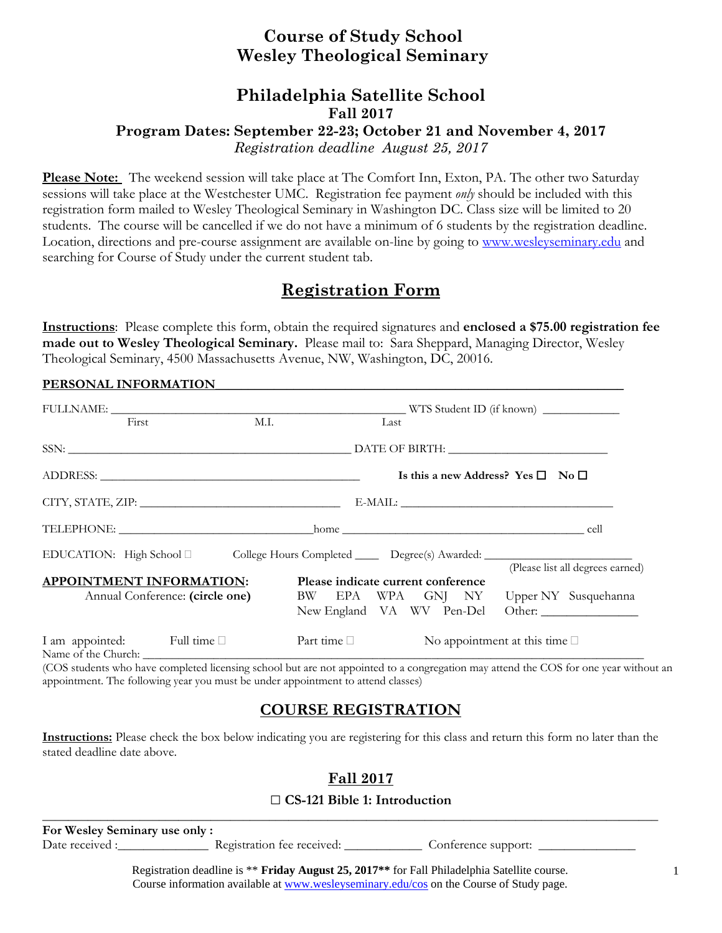## **Course of Study School Wesley Theological Seminary**

### **Philadelphia Satellite School Fall 2017**

## **Program Dates: September 22-23; October 21 and November 4, 2017**

*Registration deadline August 25, 2017* 

**Please Note:** The weekend session will take place at The Comfort Inn, Exton, PA. The other two Saturday sessions will take place at the Westchester UMC. Registration fee payment *only* should be included with this registration form mailed to Wesley Theological Seminary in Washington DC. Class size will be limited to 20 students. The course will be cancelled if we do not have a minimum of 6 students by the registration deadline. Location, directions and pre-course assignment are available on-line by going to www.wesleyseminary.edu and searching for Course of Study under the current student tab.

# **Registration Form**

**Instructions**: Please complete this form, obtain the required signatures and **enclosed a \$75.00 registration fee made out to Wesley Theological Seminary.** Please mail to: Sara Sheppard, Managing Director, Wesley Theological Seminary, 4500 Massachusetts Avenue, NW, Washington, DC, 20016.

#### PERSONAL INFORMATION

|                                                                    | First                                                                                   | M.I. |                  | Last |  |                                  |                                                                                |                                  |  |
|--------------------------------------------------------------------|-----------------------------------------------------------------------------------------|------|------------------|------|--|----------------------------------|--------------------------------------------------------------------------------|----------------------------------|--|
|                                                                    |                                                                                         |      |                  |      |  |                                  |                                                                                |                                  |  |
|                                                                    |                                                                                         |      |                  |      |  |                                  | Is this a new Address? Yes $\square$ No $\square$                              |                                  |  |
|                                                                    |                                                                                         |      |                  |      |  |                                  | $\text{E-MAIL:}\footnotesize\begin{picture}(10,10) \label{picc} \end{picture}$ |                                  |  |
|                                                                    |                                                                                         |      |                  |      |  |                                  |                                                                                |                                  |  |
|                                                                    | EDUCATION: High School □ College Hours Completed ______ Degree(s) Awarded: ____________ |      |                  |      |  |                                  |                                                                                |                                  |  |
| <b>APPOINTMENT INFORMATION:</b><br>Annual Conference: (circle one) | Please indicate current conference<br>BW EPA WPA GNJ NY Upper NY Susquehanna            |      |                  |      |  | (Please list all degrees earned) |                                                                                |                                  |  |
|                                                                    | I am appointed: Full time                                                               |      | Part time $\Box$ |      |  |                                  | No appointment at this time $\square$                                          | New England VA WV Pen-Del Other: |  |

(COS students who have completed licensing school but are not appointed to a congregation may attend the COS for one year without an appointment. The following year you must be under appointment to attend classes)

## **COURSE REGISTRATION**

**Instructions:** Please check the box below indicating you are registering for this class and return this form no later than the stated deadline date above.

## **Fall 2017**

### □ **CS-121 Bible 1: Introduction**

**\_\_\_\_\_\_\_\_\_\_\_\_\_\_\_\_\_\_\_\_\_\_\_\_\_\_\_\_\_\_\_\_\_\_\_\_\_\_\_\_\_\_\_\_\_\_\_\_\_\_\_\_\_\_\_\_\_\_\_\_\_\_\_\_\_\_\_\_\_\_\_\_\_\_\_\_\_\_\_\_\_\_\_\_\_\_\_\_\_\_\_\_\_\_\_ For Wesley Seminary use only :**  Date received :\_\_\_\_\_\_\_\_\_\_\_\_\_\_\_\_\_\_ Registration fee received: \_\_\_\_\_\_\_\_\_\_\_\_\_ Conference support: \_\_\_\_\_\_\_\_\_\_\_

> Registration deadline is \*\* **Friday August 25, 2017\*\*** for Fall Philadelphia Satellite course. Course information available at www.wesleyseminary.edu/cos on the Course of Study page.